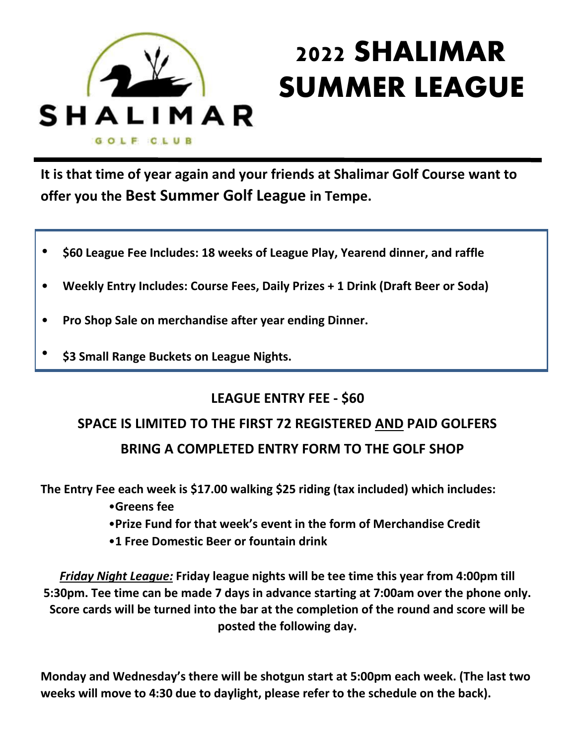

## **2022 SHALIMAR SUMMER LEAGUE**

**It is that time of year again and your friends at Shalimar Golf Course want to offer you the Best Summer Golf League in Tempe.**

- **• \$60 League Fee Includes: 18 weeks of League Play, Yearend dinner, and raffle**
- **• Weekly Entry Includes: Course Fees, Daily Prizes + 1 Drink (Draft Beer or Soda)**
- **• Pro Shop Sale on merchandise after year ending Dinner.**
- **• \$3 Small Range Buckets on League Nights.**

## **LEAGUE ENTRY FEE - \$60**

## **SPACE IS LIMITED TO THE FIRST 72 REGISTERED AND PAID GOLFERS BRING A COMPLETED ENTRY FORM TO THE GOLF SHOP**

**The Entry Fee each week is \$17.00 walking \$25 riding (tax included) which includes:**

- •**Greens fee**
- •**Prize Fund for that week's event in the form of Merchandise Credit**
- •**1 Free Domestic Beer or fountain drink**

*Friday Night League:* **Friday league nights will be tee time this year from 4:00pm till 5:30pm. Tee time can be made 7 days in advance starting at 7:00am over the phone only. Score cards will be turned into the bar at the completion of the round and score will be posted the following day.**

**Monday and Wednesday's there will be shotgun start at 5:00pm each week. (The last two weeks will move to 4:30 due to daylight, please refer to the schedule on the back).**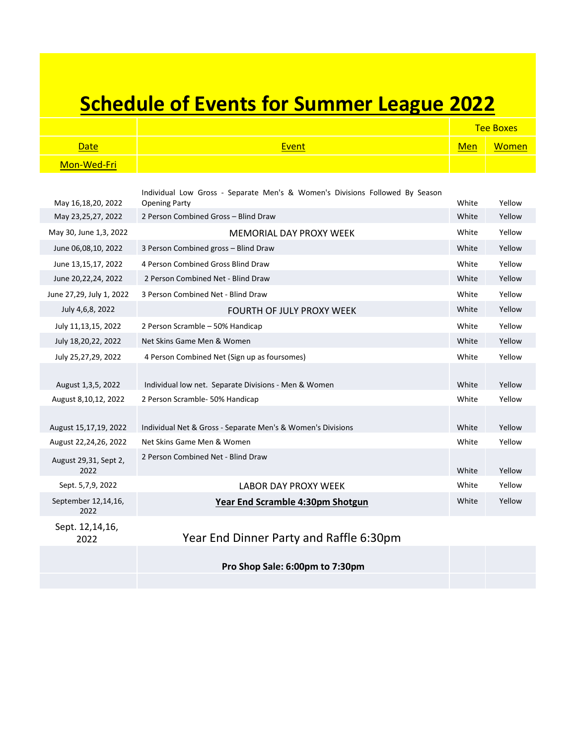## **Schedule of Events for Summer League 2022**

|             |              |            | <b>Tee Boxes</b> |
|-------------|--------------|------------|------------------|
| Date        | <u>Event</u> | <b>Men</b> | Women            |
| Mon-Wed-Fri |              |            |                  |

| May 16,18,20, 2022          | Individual Low Gross - Separate Men's & Women's Divisions Followed By Season<br><b>Opening Party</b> | White | Yellow |
|-----------------------------|------------------------------------------------------------------------------------------------------|-------|--------|
| May 23,25,27, 2022          | 2 Person Combined Gross - Blind Draw                                                                 | White | Yellow |
|                             |                                                                                                      |       |        |
| May 30, June 1,3, 2022      | MEMORIAL DAY PROXY WEEK                                                                              |       | Yellow |
| June 06,08,10, 2022         | 3 Person Combined gross - Blind Draw                                                                 |       | Yellow |
| June 13,15,17, 2022         | 4 Person Combined Gross Blind Draw                                                                   | White | Yellow |
| June 20, 22, 24, 2022       | 2 Person Combined Net - Blind Draw                                                                   | White | Yellow |
| June 27,29, July 1, 2022    | 3 Person Combined Net - Blind Draw                                                                   |       | Yellow |
| July 4,6,8, 2022            | <b>FOURTH OF JULY PROXY WEEK</b>                                                                     | White | Yellow |
| July 11,13,15, 2022         | 2 Person Scramble - 50% Handicap                                                                     |       | Yellow |
| July 18,20,22, 2022         | Net Skins Game Men & Women                                                                           |       | Yellow |
| July 25,27,29, 2022         | 4 Person Combined Net (Sign up as foursomes)                                                         |       | Yellow |
|                             |                                                                                                      |       |        |
| August 1,3,5, 2022          | Individual low net. Separate Divisions - Men & Women                                                 | White | Yellow |
| August 8,10,12, 2022        | 2 Person Scramble- 50% Handicap                                                                      |       | Yellow |
|                             |                                                                                                      |       |        |
| August 15,17,19, 2022       | Individual Net & Gross - Separate Men's & Women's Divisions                                          | White | Yellow |
| August 22,24,26, 2022       | Net Skins Game Men & Women                                                                           |       | Yellow |
| August 29,31, Sept 2,       | 2 Person Combined Net - Blind Draw                                                                   |       |        |
| 2022                        |                                                                                                      | White | Yellow |
| Sept. 5,7,9, 2022           | <b>LABOR DAY PROXY WEEK</b>                                                                          |       | Yellow |
| September 12,14,16,<br>2022 | Year End Scramble 4:30pm Shotgun                                                                     |       | Yellow |
| Sept. 12,14,16,             |                                                                                                      |       |        |

2022 Year End Dinner Party and Raffle 6:30pm

**Pro Shop Sale: 6:00pm to 7:30pm**